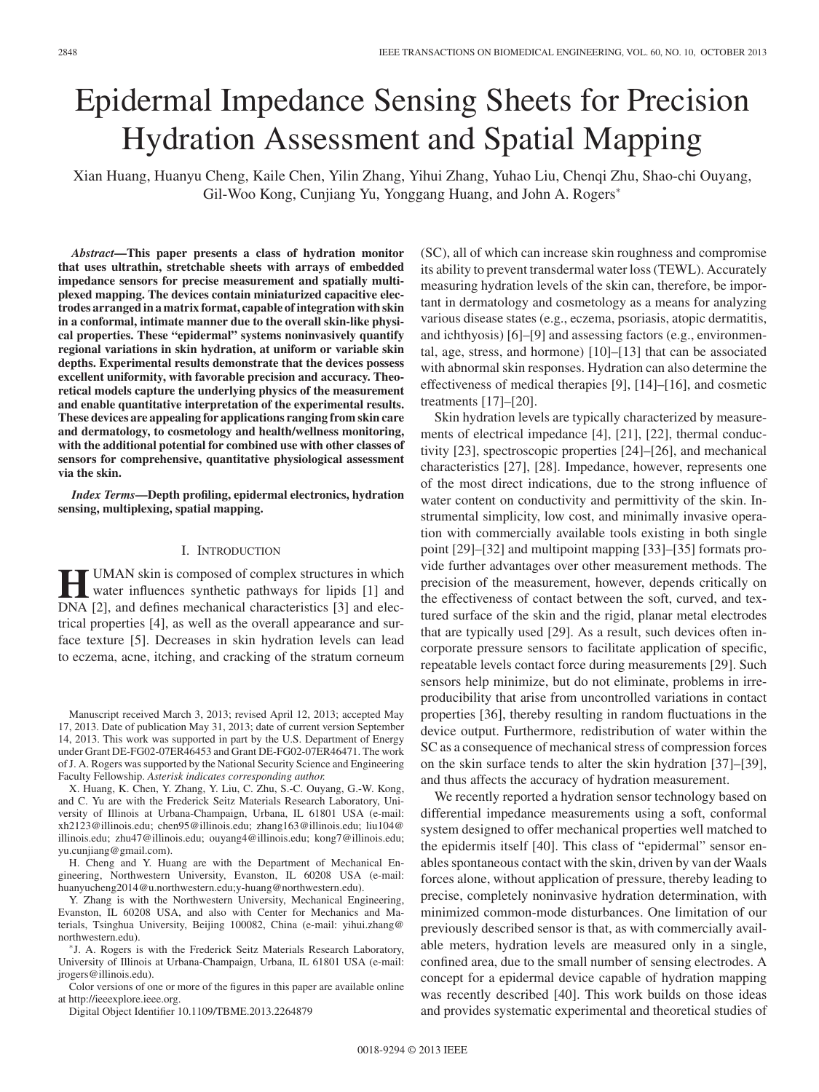# Epidermal Impedance Sensing Sheets for Precision Hydration Assessment and Spatial Mapping

Xian Huang, Huanyu Cheng, Kaile Chen, Yilin Zhang, Yihui Zhang, Yuhao Liu, Chenqi Zhu, Shao-chi Ouyang, Gil-Woo Kong, Cunjiang Yu, Yonggang Huang, and John A. Rogers<sup>∗</sup>

*Abstract***—This paper presents a class of hydration monitor that uses ultrathin, stretchable sheets with arrays of embedded impedance sensors for precise measurement and spatially multiplexed mapping. The devices contain miniaturized capacitive electrodes arranged in a matrix format, capable of integration with skin in a conformal, intimate manner due to the overall skin-like physical properties. These "epidermal" systems noninvasively quantify regional variations in skin hydration, at uniform or variable skin depths. Experimental results demonstrate that the devices possess excellent uniformity, with favorable precision and accuracy. Theoretical models capture the underlying physics of the measurement and enable quantitative interpretation of the experimental results. These devices are appealing for applications ranging from skin care and dermatology, to cosmetology and health/wellness monitoring, with the additional potential for combined use with other classes of sensors for comprehensive, quantitative physiological assessment via the skin.**

*Index Terms***—Depth profiling, epidermal electronics, hydration sensing, multiplexing, spatial mapping.**

## I. INTRODUCTION

**HEUMAN** skin is composed of complex structures in which<br>water influences synthetic pathways for lipids [1] and<br>NMA [2] and defines mechanical characteristics [3] and elec-DNA [2], and defines mechanical characteristics [3] and electrical properties [4], as well as the overall appearance and surface texture [5]. Decreases in skin hydration levels can lead to eczema, acne, itching, and cracking of the stratum corneum

X. Huang, K. Chen, Y. Zhang, Y. Liu, C. Zhu, S.-C. Ouyang, G.-W. Kong, and C. Yu are with the Frederick Seitz Materials Research Laboratory, University of Illinois at Urbana-Champaign, Urbana, IL 61801 USA (e-mail: xh2123@illinois.edu; chen95@illinois.edu; zhang163@illinois.edu; liu104@ illinois.edu; zhu47@illinois.edu; ouyang4@illinois.edu; kong7@illinois.edu; yu.cunjiang@gmail.com).

H. Cheng and Y. Huang are with the Department of Mechanical Engineering, Northwestern University, Evanston, IL 60208 USA (e-mail: huanyucheng2014@u.northwestern.edu;y-huang@northwestern.edu).

Y. Zhang is with the Northwestern University, Mechanical Engineering, Evanston, IL 60208 USA, and also with Center for Mechanics and Materials, Tsinghua University, Beijing 100082, China (e-mail: yihui.zhang@

northwestern.edu).<br>
<sup>∗J</sup>. A. Rogers is with the Frederick Seitz Materials Research Laboratory, University of Illinois at Urbana-Champaign, Urbana, IL 61801 USA (e-mail: jrogers@illinois.edu).

Color versions of one or more of the figures in this paper are available online at http://ieeexplore.ieee.org.

Digital Object Identifier 10.1109/TBME.2013.2264879

(SC), all of which can increase skin roughness and compromise its ability to prevent transdermal water loss (TEWL). Accurately measuring hydration levels of the skin can, therefore, be important in dermatology and cosmetology as a means for analyzing various disease states (e.g., eczema, psoriasis, atopic dermatitis, and ichthyosis) [6]–[9] and assessing factors (e.g., environmental, age, stress, and hormone) [10]–[13] that can be associated with abnormal skin responses. Hydration can also determine the effectiveness of medical therapies [9], [14]–[16], and cosmetic treatments [17]–[20].

Skin hydration levels are typically characterized by measurements of electrical impedance [4], [21], [22], thermal conductivity [23], spectroscopic properties [24]–[26], and mechanical characteristics [27], [28]. Impedance, however, represents one of the most direct indications, due to the strong influence of water content on conductivity and permittivity of the skin. Instrumental simplicity, low cost, and minimally invasive operation with commercially available tools existing in both single point [29]–[32] and multipoint mapping [33]–[35] formats provide further advantages over other measurement methods. The precision of the measurement, however, depends critically on the effectiveness of contact between the soft, curved, and textured surface of the skin and the rigid, planar metal electrodes that are typically used [29]. As a result, such devices often incorporate pressure sensors to facilitate application of specific, repeatable levels contact force during measurements [29]. Such sensors help minimize, but do not eliminate, problems in irreproducibility that arise from uncontrolled variations in contact properties [36], thereby resulting in random fluctuations in the device output. Furthermore, redistribution of water within the SC as a consequence of mechanical stress of compression forces on the skin surface tends to alter the skin hydration [37]–[39], and thus affects the accuracy of hydration measurement.

We recently reported a hydration sensor technology based on differential impedance measurements using a soft, conformal system designed to offer mechanical properties well matched to the epidermis itself [40]. This class of "epidermal" sensor enables spontaneous contact with the skin, driven by van der Waals forces alone, without application of pressure, thereby leading to precise, completely noninvasive hydration determination, with minimized common-mode disturbances. One limitation of our previously described sensor is that, as with commercially available meters, hydration levels are measured only in a single, confined area, due to the small number of sensing electrodes. A concept for a epidermal device capable of hydration mapping was recently described [40]. This work builds on those ideas and provides systematic experimental and theoretical studies of

Manuscript received March 3, 2013; revised April 12, 2013; accepted May 17, 2013. Date of publication May 31, 2013; date of current version September 14, 2013. This work was supported in part by the U.S. Department of Energy under Grant DE-FG02-07ER46453 and Grant DE-FG02-07ER46471. The work of J. A. Rogers was supported by the National Security Science and Engineering Faculty Fellowship. *Asterisk indicates corresponding author.*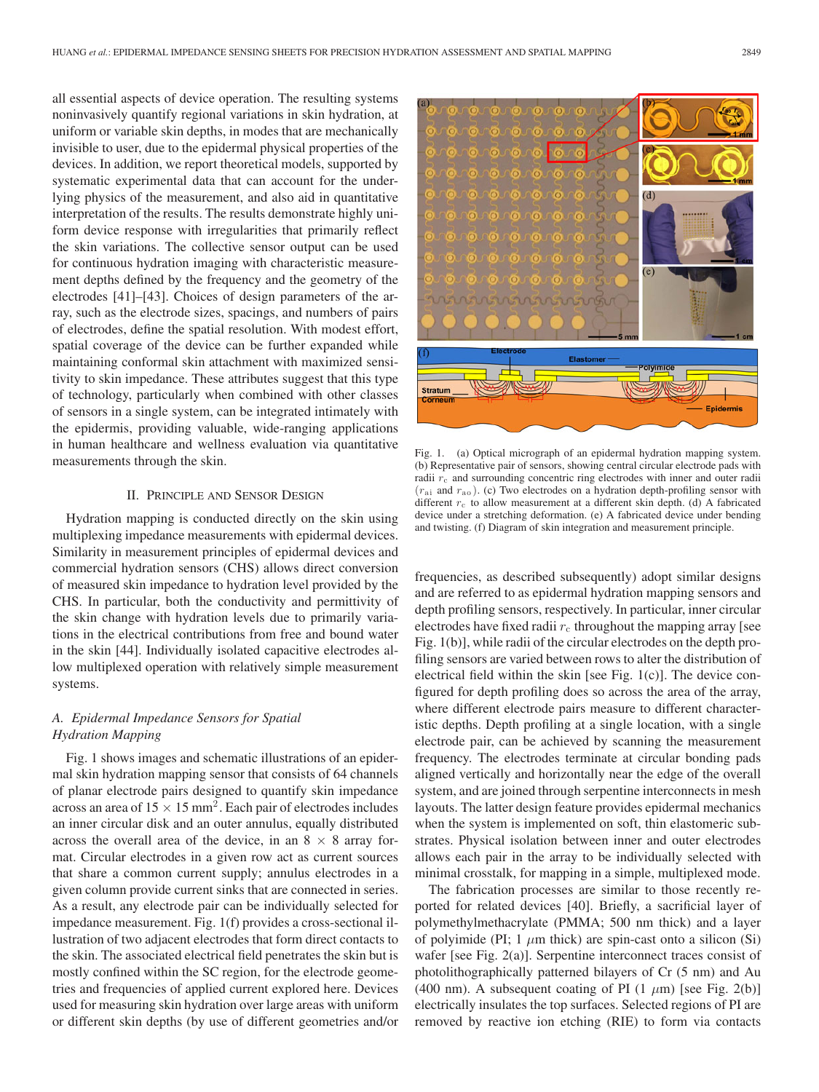all essential aspects of device operation. The resulting systems noninvasively quantify regional variations in skin hydration, at uniform or variable skin depths, in modes that are mechanically invisible to user, due to the epidermal physical properties of the devices. In addition, we report theoretical models, supported by systematic experimental data that can account for the underlying physics of the measurement, and also aid in quantitative interpretation of the results. The results demonstrate highly uniform device response with irregularities that primarily reflect the skin variations. The collective sensor output can be used for continuous hydration imaging with characteristic measurement depths defined by the frequency and the geometry of the electrodes [41]–[43]. Choices of design parameters of the array, such as the electrode sizes, spacings, and numbers of pairs of electrodes, define the spatial resolution. With modest effort, spatial coverage of the device can be further expanded while maintaining conformal skin attachment with maximized sensitivity to skin impedance. These attributes suggest that this type of technology, particularly when combined with other classes of sensors in a single system, can be integrated intimately with the epidermis, providing valuable, wide-ranging applications in human healthcare and wellness evaluation via quantitative measurements through the skin.

## II. PRINCIPLE AND SENSOR DESIGN

Hydration mapping is conducted directly on the skin using multiplexing impedance measurements with epidermal devices. Similarity in measurement principles of epidermal devices and commercial hydration sensors (CHS) allows direct conversion of measured skin impedance to hydration level provided by the CHS. In particular, both the conductivity and permittivity of the skin change with hydration levels due to primarily variations in the electrical contributions from free and bound water in the skin [44]. Individually isolated capacitive electrodes allow multiplexed operation with relatively simple measurement systems.

## *A. Epidermal Impedance Sensors for Spatial Hydration Mapping*

Fig. 1 shows images and schematic illustrations of an epidermal skin hydration mapping sensor that consists of 64 channels of planar electrode pairs designed to quantify skin impedance across an area of  $15 \times 15$  mm<sup>2</sup>. Each pair of electrodes includes an inner circular disk and an outer annulus, equally distributed across the overall area of the device, in an  $8 \times 8$  array format. Circular electrodes in a given row act as current sources that share a common current supply; annulus electrodes in a given column provide current sinks that are connected in series. As a result, any electrode pair can be individually selected for impedance measurement. Fig. 1(f) provides a cross-sectional illustration of two adjacent electrodes that form direct contacts to the skin. The associated electrical field penetrates the skin but is mostly confined within the SC region, for the electrode geometries and frequencies of applied current explored here. Devices used for measuring skin hydration over large areas with uniform or different skin depths (by use of different geometries and/or



Fig. 1. (a) Optical micrograph of an epidermal hydration mapping system. (b) Representative pair of sensors, showing central circular electrode pads with radii  $r_c$  and surrounding concentric ring electrodes with inner and outer radii  $(r_{\rm ai}$  and  $r_{\rm ao}$ ). (c) Two electrodes on a hydration depth-profiling sensor with different  $r_c$  to allow measurement at a different skin depth. (d) A fabricated device under a stretching deformation. (e) A fabricated device under bending and twisting. (f) Diagram of skin integration and measurement principle.

frequencies, as described subsequently) adopt similar designs and are referred to as epidermal hydration mapping sensors and depth profiling sensors, respectively. In particular, inner circular electrodes have fixed radii  $r_c$  throughout the mapping array [see Fig. 1(b)], while radii of the circular electrodes on the depth profiling sensors are varied between rows to alter the distribution of electrical field within the skin [see Fig. 1(c)]. The device configured for depth profiling does so across the area of the array, where different electrode pairs measure to different characteristic depths. Depth profiling at a single location, with a single electrode pair, can be achieved by scanning the measurement frequency. The electrodes terminate at circular bonding pads aligned vertically and horizontally near the edge of the overall system, and are joined through serpentine interconnects in mesh layouts. The latter design feature provides epidermal mechanics when the system is implemented on soft, thin elastomeric substrates. Physical isolation between inner and outer electrodes allows each pair in the array to be individually selected with minimal crosstalk, for mapping in a simple, multiplexed mode.

The fabrication processes are similar to those recently reported for related devices [40]. Briefly, a sacrificial layer of polymethylmethacrylate (PMMA; 500 nm thick) and a layer of polyimide (PI; 1  $\mu$ m thick) are spin-cast onto a silicon (Si) wafer [see Fig. 2(a)]. Serpentine interconnect traces consist of photolithographically patterned bilayers of Cr (5 nm) and Au (400 nm). A subsequent coating of PI  $(1 \mu m)$  [see Fig. 2(b)] electrically insulates the top surfaces. Selected regions of PI are removed by reactive ion etching (RIE) to form via contacts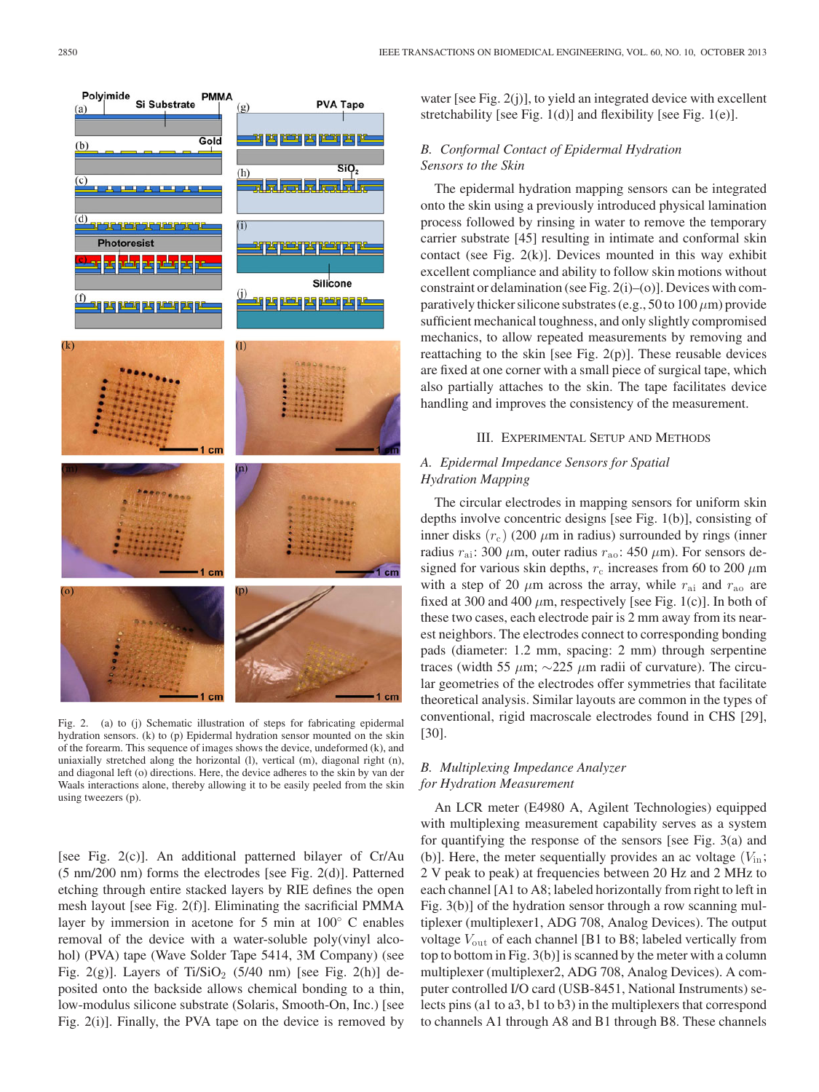

Fig. 2. (a) to (j) Schematic illustration of steps for fabricating epidermal hydration sensors. (k) to (p) Epidermal hydration sensor mounted on the skin of the forearm. This sequence of images shows the device, undeformed (k), and uniaxially stretched along the horizontal (l), vertical (m), diagonal right (n), and diagonal left (o) directions. Here, the device adheres to the skin by van der Waals interactions alone, thereby allowing it to be easily peeled from the skin using tweezers (p).

[see Fig. 2(c)]. An additional patterned bilayer of Cr/Au (5 nm/200 nm) forms the electrodes [see Fig. 2(d)]. Patterned etching through entire stacked layers by RIE defines the open mesh layout [see Fig. 2(f)]. Eliminating the sacrificial PMMA layer by immersion in acetone for 5 min at 100◦ C enables removal of the device with a water-soluble poly(vinyl alcohol) (PVA) tape (Wave Solder Tape 5414, 3M Company) (see Fig.  $2(g)$ ]. Layers of Ti/SiO<sub>2</sub> (5/40 nm) [see Fig. 2(h)] deposited onto the backside allows chemical bonding to a thin, low-modulus silicone substrate (Solaris, Smooth-On, Inc.) [see Fig. 2(i)]. Finally, the PVA tape on the device is removed by

water [see Fig. 2(j)], to yield an integrated device with excellent stretchability [see Fig. 1(d)] and flexibility [see Fig. 1(e)].

# *B. Conformal Contact of Epidermal Hydration Sensors to the Skin*

The epidermal hydration mapping sensors can be integrated onto the skin using a previously introduced physical lamination process followed by rinsing in water to remove the temporary carrier substrate [45] resulting in intimate and conformal skin contact (see Fig.  $2(k)$ ]. Devices mounted in this way exhibit excellent compliance and ability to follow skin motions without constraint or delamination (see Fig. 2(i)–(o)]. Devices with comparatively thicker silicone substrates (e.g.,  $50$  to  $100 \,\mu$ m) provide sufficient mechanical toughness, and only slightly compromised mechanics, to allow repeated measurements by removing and reattaching to the skin [see Fig. 2(p)]. These reusable devices are fixed at one corner with a small piece of surgical tape, which also partially attaches to the skin. The tape facilitates device handling and improves the consistency of the measurement.

## III. EXPERIMENTAL SETUP AND METHODS

# *A. Epidermal Impedance Sensors for Spatial Hydration Mapping*

The circular electrodes in mapping sensors for uniform skin depths involve concentric designs [see Fig. 1(b)], consisting of inner disks  $(r_c)$  (200  $\mu$ m in radius) surrounded by rings (inner radius  $r_{\rm ai}$ : 300  $\mu$ m, outer radius  $r_{\rm ao}$ : 450  $\mu$ m). For sensors designed for various skin depths,  $r_c$  increases from 60 to 200  $\mu$ m with a step of 20  $\mu$ m across the array, while  $r_{ai}$  and  $r_{ao}$  are fixed at 300 and 400  $\mu$ m, respectively [see Fig. 1(c)]. In both of these two cases, each electrode pair is 2 mm away from its nearest neighbors. The electrodes connect to corresponding bonding pads (diameter: 1.2 mm, spacing: 2 mm) through serpentine traces (width 55 μm;  $\sim$ 225 μm radii of curvature). The circular geometries of the electrodes offer symmetries that facilitate theoretical analysis. Similar layouts are common in the types of conventional, rigid macroscale electrodes found in CHS [29], [30].

## *B. Multiplexing Impedance Analyzer for Hydration Measurement*

An LCR meter (E4980 A, Agilent Technologies) equipped with multiplexing measurement capability serves as a system for quantifying the response of the sensors [see Fig. 3(a) and (b)]. Here, the meter sequentially provides an ac voltage  $(V_{\text{in}};$ 2 V peak to peak) at frequencies between 20 Hz and 2 MHz to each channel [A1 to A8; labeled horizontally from right to left in Fig. 3(b)] of the hydration sensor through a row scanning multiplexer (multiplexer1, ADG 708, Analog Devices). The output voltage  $V_{\text{out}}$  of each channel [B1 to B8; labeled vertically from top to bottom in Fig. 3(b)] is scanned by the meter with a column multiplexer (multiplexer2, ADG 708, Analog Devices). A computer controlled I/O card (USB-8451, National Instruments) selects pins (a1 to a3, b1 to b3) in the multiplexers that correspond to channels A1 through A8 and B1 through B8. These channels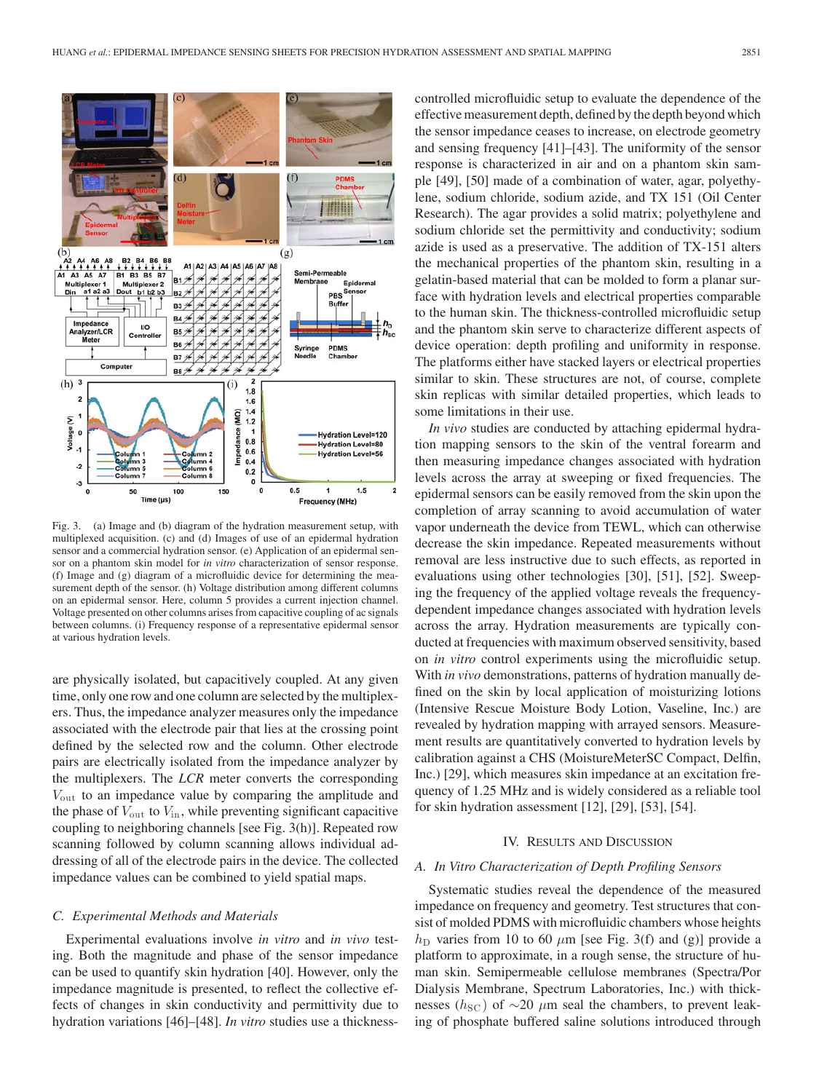

Fig. 3. (a) Image and (b) diagram of the hydration measurement setup, with multiplexed acquisition. (c) and (d) Images of use of an epidermal hydration sensor and a commercial hydration sensor. (e) Application of an epidermal sensor on a phantom skin model for *in vitro* characterization of sensor response. (f) Image and (g) diagram of a microfluidic device for determining the measurement depth of the sensor. (h) Voltage distribution among different columns on an epidermal sensor. Here, column 5 provides a current injection channel. Voltage presented on other columns arises from capacitive coupling of ac signals between columns. (i) Frequency response of a representative epidermal sensor at various hydration levels.

are physically isolated, but capacitively coupled. At any given time, only one row and one column are selected by the multiplexers. Thus, the impedance analyzer measures only the impedance associated with the electrode pair that lies at the crossing point defined by the selected row and the column. Other electrode pairs are electrically isolated from the impedance analyzer by the multiplexers. The *LCR* meter converts the corresponding Vout to an impedance value by comparing the amplitude and the phase of  $V_{\text{out}}$  to  $V_{\text{in}}$ , while preventing significant capacitive coupling to neighboring channels [see Fig. 3(h)]. Repeated row scanning followed by column scanning allows individual addressing of all of the electrode pairs in the device. The collected impedance values can be combined to yield spatial maps.

### *C. Experimental Methods and Materials*

Experimental evaluations involve *in vitro* and *in vivo* testing. Both the magnitude and phase of the sensor impedance can be used to quantify skin hydration [40]. However, only the impedance magnitude is presented, to reflect the collective effects of changes in skin conductivity and permittivity due to hydration variations [46]–[48]. *In vitro* studies use a thicknesscontrolled microfluidic setup to evaluate the dependence of the effective measurement depth, defined by the depth beyond which the sensor impedance ceases to increase, on electrode geometry and sensing frequency [41]–[43]. The uniformity of the sensor response is characterized in air and on a phantom skin sample [49], [50] made of a combination of water, agar, polyethylene, sodium chloride, sodium azide, and TX 151 (Oil Center Research). The agar provides a solid matrix; polyethylene and sodium chloride set the permittivity and conductivity; sodium azide is used as a preservative. The addition of TX-151 alters the mechanical properties of the phantom skin, resulting in a gelatin-based material that can be molded to form a planar surface with hydration levels and electrical properties comparable to the human skin. The thickness-controlled microfluidic setup and the phantom skin serve to characterize different aspects of device operation: depth profiling and uniformity in response. The platforms either have stacked layers or electrical properties similar to skin. These structures are not, of course, complete skin replicas with similar detailed properties, which leads to some limitations in their use.

*In vivo* studies are conducted by attaching epidermal hydration mapping sensors to the skin of the ventral forearm and then measuring impedance changes associated with hydration levels across the array at sweeping or fixed frequencies. The epidermal sensors can be easily removed from the skin upon the completion of array scanning to avoid accumulation of water vapor underneath the device from TEWL, which can otherwise decrease the skin impedance. Repeated measurements without removal are less instructive due to such effects, as reported in evaluations using other technologies [30], [51], [52]. Sweeping the frequency of the applied voltage reveals the frequencydependent impedance changes associated with hydration levels across the array. Hydration measurements are typically conducted at frequencies with maximum observed sensitivity, based on *in vitro* control experiments using the microfluidic setup. With *in vivo* demonstrations, patterns of hydration manually defined on the skin by local application of moisturizing lotions (Intensive Rescue Moisture Body Lotion, Vaseline, Inc.) are revealed by hydration mapping with arrayed sensors. Measurement results are quantitatively converted to hydration levels by calibration against a CHS (MoistureMeterSC Compact, Delfin, Inc.) [29], which measures skin impedance at an excitation frequency of 1.25 MHz and is widely considered as a reliable tool for skin hydration assessment [12], [29], [53], [54].

## IV. RESULTS AND DISCUSSION

## *A. In Vitro Characterization of Depth Profiling Sensors*

Systematic studies reveal the dependence of the measured impedance on frequency and geometry. Test structures that consist of molded PDMS with microfluidic chambers whose heights  $h_D$  varies from 10 to 60  $\mu$ m [see Fig. 3(f) and (g)] provide a platform to approximate, in a rough sense, the structure of human skin. Semipermeable cellulose membranes (Spectra/Por Dialysis Membrane, Spectrum Laboratories, Inc.) with thicknesses ( $h_{SC}$ ) of ~20  $\mu$ m seal the chambers, to prevent leaking of phosphate buffered saline solutions introduced through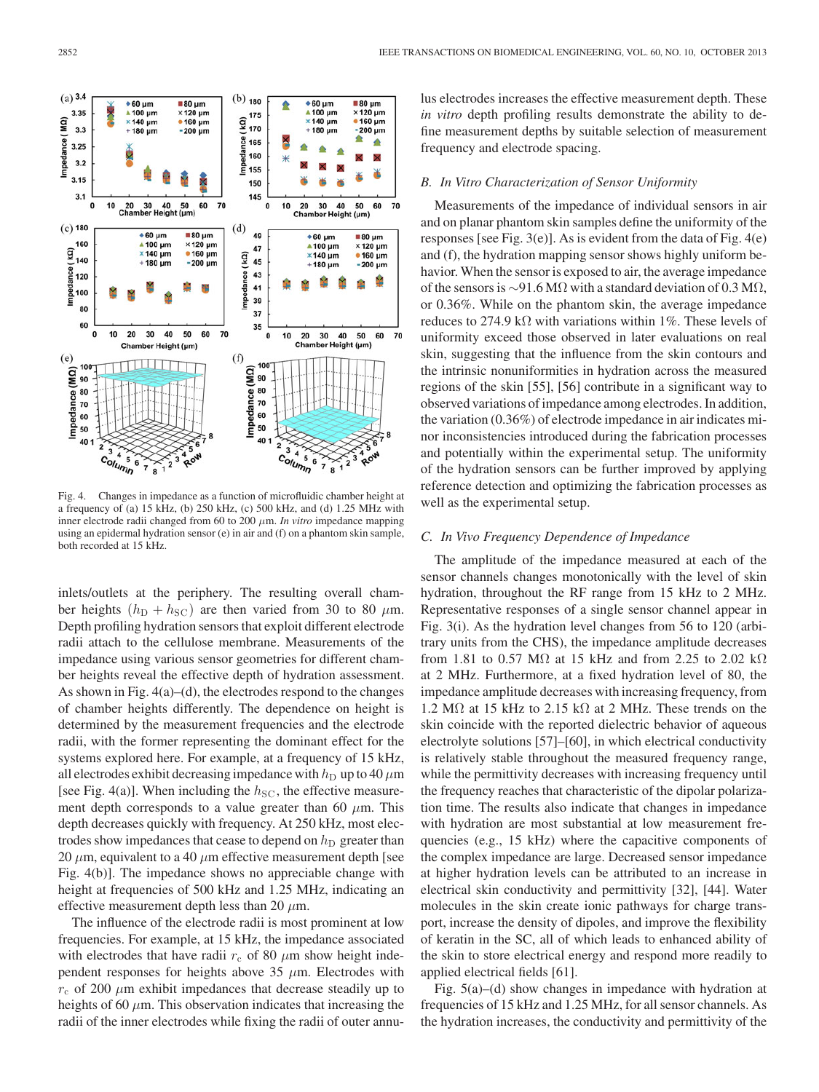

Fig. 4. Changes in impedance as a function of microfluidic chamber height at a frequency of (a) 15 kHz, (b) 250 kHz, (c) 500 kHz, and (d) 1.25 MHz with inner electrode radii changed from 60 to 200 μm. *In vitro* impedance mapping using an epidermal hydration sensor (e) in air and (f) on a phantom skin sample, both recorded at 15 kHz.

inlets/outlets at the periphery. The resulting overall chamber heights ( $h<sub>D</sub> + h<sub>SC</sub>$ ) are then varied from 30 to 80  $\mu$ m. Depth profiling hydration sensors that exploit different electrode radii attach to the cellulose membrane. Measurements of the impedance using various sensor geometries for different chamber heights reveal the effective depth of hydration assessment. As shown in Fig.  $4(a)$ –(d), the electrodes respond to the changes of chamber heights differently. The dependence on height is determined by the measurement frequencies and the electrode radii, with the former representing the dominant effect for the systems explored here. For example, at a frequency of 15 kHz, all electrodes exhibit decreasing impedance with  $h_D$  up to 40  $\mu$ m [see Fig. 4(a)]. When including the  $h_{SC}$ , the effective measurement depth corresponds to a value greater than 60  $\mu$ m. This depth decreases quickly with frequency. At 250 kHz, most electrodes show impedances that cease to depend on  $h_D$  greater than 20  $\mu$ m, equivalent to a 40  $\mu$ m effective measurement depth [see Fig. 4(b)]. The impedance shows no appreciable change with height at frequencies of 500 kHz and 1.25 MHz, indicating an effective measurement depth less than 20  $\mu$ m.

The influence of the electrode radii is most prominent at low frequencies. For example, at 15 kHz, the impedance associated with electrodes that have radii  $r_c$  of 80  $\mu$ m show height independent responses for heights above 35  $\mu$ m. Electrodes with  $r_c$  of 200  $\mu$ m exhibit impedances that decrease steadily up to heights of 60  $\mu$ m. This observation indicates that increasing the radii of the inner electrodes while fixing the radii of outer annulus electrodes increases the effective measurement depth. These *in vitro* depth profiling results demonstrate the ability to define measurement depths by suitable selection of measurement frequency and electrode spacing.

## *B. In Vitro Characterization of Sensor Uniformity*

Measurements of the impedance of individual sensors in air and on planar phantom skin samples define the uniformity of the responses [see Fig.  $3(e)$ ]. As is evident from the data of Fig.  $4(e)$ and (f), the hydration mapping sensor shows highly uniform behavior. When the sensor is exposed to air, the average impedance of the sensors is ∼91.6 MΩ with a standard deviation of 0.3 MΩ, or 0.36%. While on the phantom skin, the average impedance reduces to 274.9 kΩ with variations within 1%. These levels of uniformity exceed those observed in later evaluations on real skin, suggesting that the influence from the skin contours and the intrinsic nonuniformities in hydration across the measured regions of the skin [55], [56] contribute in a significant way to observed variations of impedance among electrodes. In addition, the variation (0.36%) of electrode impedance in air indicates minor inconsistencies introduced during the fabrication processes and potentially within the experimental setup. The uniformity of the hydration sensors can be further improved by applying reference detection and optimizing the fabrication processes as well as the experimental setup.

## *C. In Vivo Frequency Dependence of Impedance*

The amplitude of the impedance measured at each of the sensor channels changes monotonically with the level of skin hydration, throughout the RF range from 15 kHz to 2 MHz. Representative responses of a single sensor channel appear in Fig. 3(i). As the hydration level changes from 56 to 120 (arbitrary units from the CHS), the impedance amplitude decreases from 1.81 to 0.57 M $\Omega$  at 15 kHz and from 2.25 to 2.02 k $\Omega$ at 2 MHz. Furthermore, at a fixed hydration level of 80, the impedance amplitude decreases with increasing frequency, from 1.2 M $\Omega$  at 15 kHz to 2.15 k $\Omega$  at 2 MHz. These trends on the skin coincide with the reported dielectric behavior of aqueous electrolyte solutions [57]–[60], in which electrical conductivity is relatively stable throughout the measured frequency range, while the permittivity decreases with increasing frequency until the frequency reaches that characteristic of the dipolar polarization time. The results also indicate that changes in impedance with hydration are most substantial at low measurement frequencies (e.g., 15 kHz) where the capacitive components of the complex impedance are large. Decreased sensor impedance at higher hydration levels can be attributed to an increase in electrical skin conductivity and permittivity [32], [44]. Water molecules in the skin create ionic pathways for charge transport, increase the density of dipoles, and improve the flexibility of keratin in the SC, all of which leads to enhanced ability of the skin to store electrical energy and respond more readily to applied electrical fields [61].

Fig. 5(a)–(d) show changes in impedance with hydration at frequencies of 15 kHz and 1.25 MHz, for all sensor channels. As the hydration increases, the conductivity and permittivity of the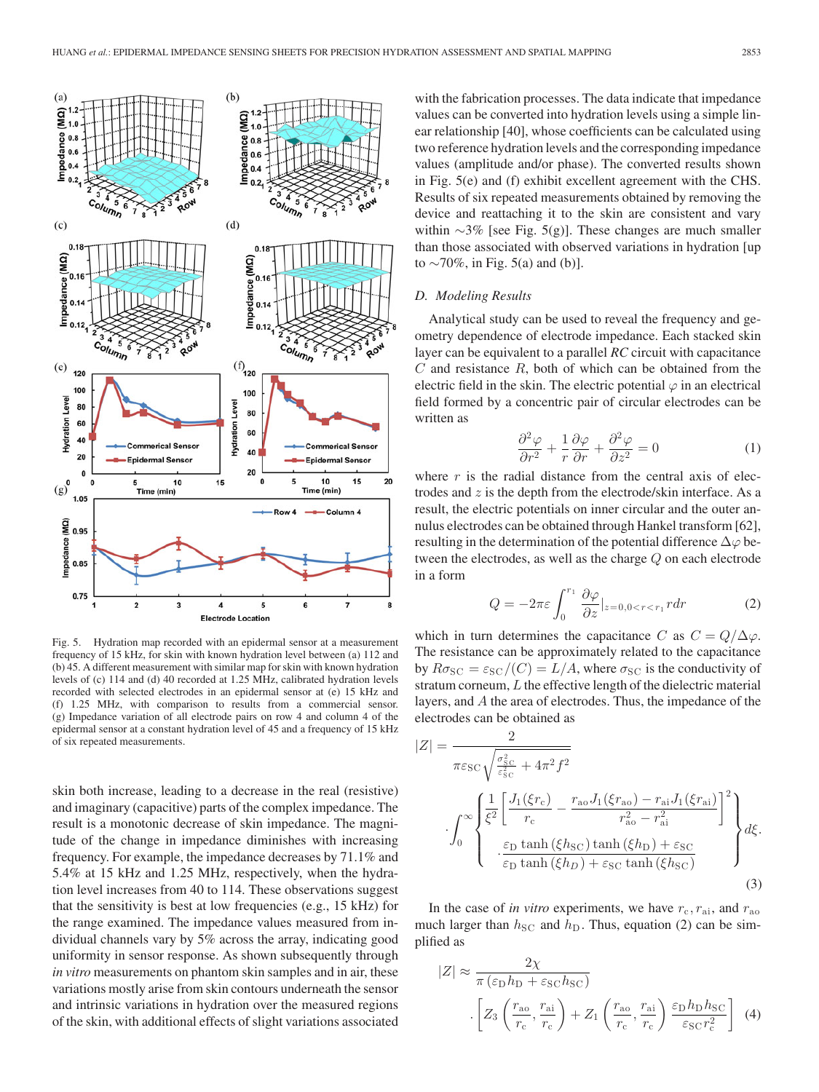

Fig. 5. Hydration map recorded with an epidermal sensor at a measurement frequency of 15 kHz, for skin with known hydration level between (a) 112 and (b) 45. A different measurement with similar map for skin with known hydration levels of (c) 114 and (d) 40 recorded at 1.25 MHz, calibrated hydration levels recorded with selected electrodes in an epidermal sensor at (e) 15 kHz and (f) 1.25 MHz, with comparison to results from a commercial sensor. (g) Impedance variation of all electrode pairs on row 4 and column 4 of the epidermal sensor at a constant hydration level of 45 and a frequency of 15 kHz of six repeated measurements.

skin both increase, leading to a decrease in the real (resistive) and imaginary (capacitive) parts of the complex impedance. The result is a monotonic decrease of skin impedance. The magnitude of the change in impedance diminishes with increasing frequency. For example, the impedance decreases by 71.1% and 5.4% at 15 kHz and 1.25 MHz, respectively, when the hydration level increases from 40 to 114. These observations suggest that the sensitivity is best at low frequencies (e.g., 15 kHz) for the range examined. The impedance values measured from individual channels vary by 5% across the array, indicating good uniformity in sensor response. As shown subsequently through *in vitro* measurements on phantom skin samples and in air, these variations mostly arise from skin contours underneath the sensor and intrinsic variations in hydration over the measured regions of the skin, with additional effects of slight variations associated with the fabrication processes. The data indicate that impedance values can be converted into hydration levels using a simple linear relationship [40], whose coefficients can be calculated using two reference hydration levels and the corresponding impedance values (amplitude and/or phase). The converted results shown in Fig. 5(e) and (f) exhibit excellent agreement with the CHS. Results of six repeated measurements obtained by removing the device and reattaching it to the skin are consistent and vary within  $\sim$ 3% [see Fig. 5(g)]. These changes are much smaller than those associated with observed variations in hydration [up to  $\sim$ 70%, in Fig. 5(a) and (b)].

#### *D. Modeling Results*

Analytical study can be used to reveal the frequency and geometry dependence of electrode impedance. Each stacked skin layer can be equivalent to a parallel *RC* circuit with capacitance  $C$  and resistance  $R$ , both of which can be obtained from the electric field in the skin. The electric potential  $\varphi$  in an electrical field formed by a concentric pair of circular electrodes can be written as

$$
\frac{\partial^2 \varphi}{\partial r^2} + \frac{1}{r} \frac{\partial \varphi}{\partial r} + \frac{\partial^2 \varphi}{\partial z^2} = 0 \tag{1}
$$

where  $r$  is the radial distance from the central axis of electrodes and  $z$  is the depth from the electrode/skin interface. As a result, the electric potentials on inner circular and the outer annulus electrodes can be obtained through Hankel transform [62], resulting in the determination of the potential difference  $\Delta\varphi$  between the electrodes, as well as the charge Q on each electrode in a form

$$
Q = -2\pi\varepsilon \int_0^{r_1} \frac{\partial \varphi}{\partial z} |_{z=0,0 < r < r_1} r dr \tag{2}
$$

which in turn determines the capacitance C as  $C = Q/\Delta\varphi$ . The resistance can be approximately related to the capacitance by  $R\sigma_{SC} = \varepsilon_{SC}/(C) = L/A$ , where  $\sigma_{SC}$  is the conductivity of stratum corneum, L the effective length of the dielectric material layers, and A the area of electrodes. Thus, the impedance of the electrodes can be obtained as

$$
|Z| = \frac{2}{\pi \varepsilon_{SC} \sqrt{\frac{\sigma_{SC}^2}{\varepsilon_{SC}^2} + 4\pi^2 f^2}}
$$

$$
\cdot \int_0^\infty \begin{cases} \frac{1}{\xi^2} \left[ \frac{J_1(\xi r_c)}{r_c} - \frac{r_{ao} J_1(\xi r_{ao}) - r_{ai} J_1(\xi r_{ai})}{r_{ao}^2 - r_{ai}^2} \right]^2 \\ \cdot \frac{\varepsilon_D \tanh\left(\xi h_{SC}\right) \tanh\left(\xi h_D\right) + \varepsilon_{SC}}{\varepsilon_D \tanh\left(\xi h_D\right) + \varepsilon_{SC} \tanh\left(\xi h_{SC}\right)} \end{cases}^2 d\xi.
$$
(3)

In the case of *in vitro* experiments, we have  $r_c$ ,  $r_{ai}$ , and  $r_{ao}$ much larger than  $h_{SC}$  and  $h_D$ . Thus, equation (2) can be simplified as

$$
|Z| \approx \frac{2\chi}{\pi (\varepsilon_{\rm D} h_{\rm D} + \varepsilon_{\rm SC} h_{\rm SC})}
$$

$$
\left[ Z_3 \left( \frac{r_{\rm ao}}{r_{\rm c}}, \frac{r_{\rm ai}}{r_{\rm c}} \right) + Z_1 \left( \frac{r_{\rm ao}}{r_{\rm c}}, \frac{r_{\rm ai}}{r_{\rm c}} \right) \frac{\varepsilon_{\rm D} h_{\rm D} h_{\rm SC}}{\varepsilon_{\rm SC} r_{\rm c}^2} \right] (4)
$$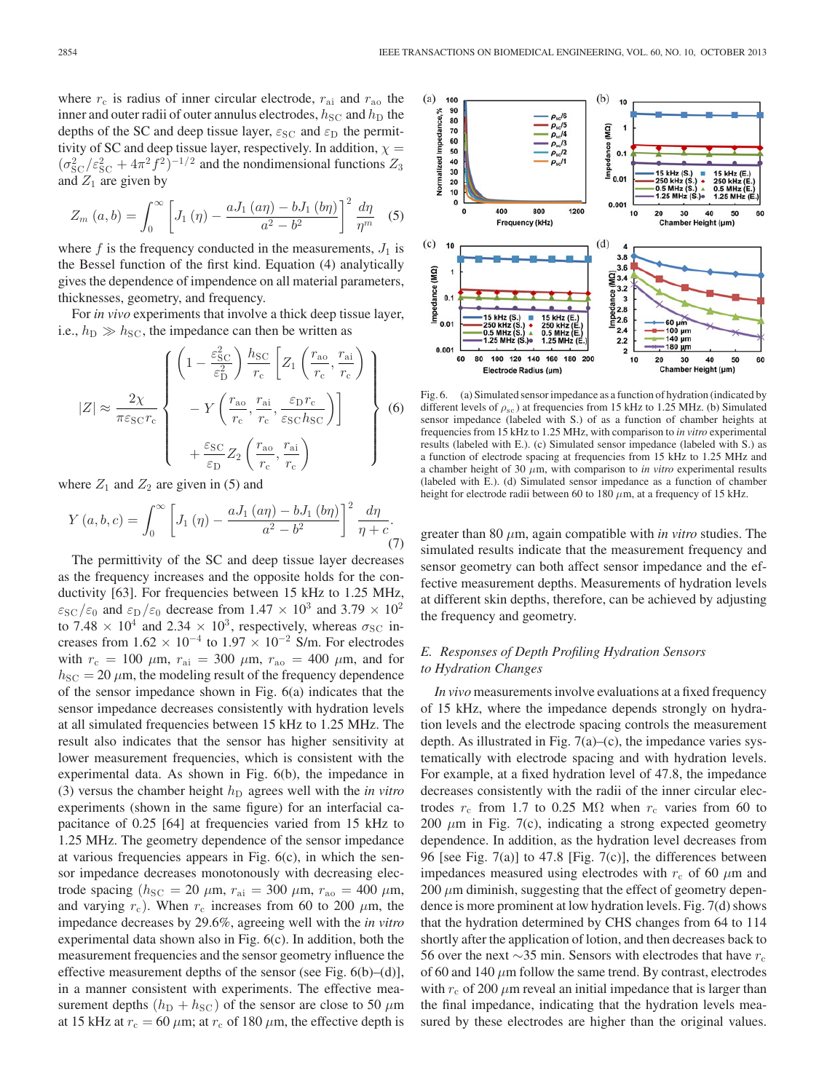where  $r_c$  is radius of inner circular electrode,  $r_{ai}$  and  $r_{ao}$  the inner and outer radii of outer annulus electrodes,  $h_{SC}$  and  $h_D$  the depths of the SC and deep tissue layer,  $\varepsilon_{SC}$  and  $\varepsilon_D$  the permittivity of SC and deep tissue layer, respectively. In addition,  $\chi =$  $(\sigma_{\rm SC}^2/\varepsilon_{\rm SC}^2 + 4\pi^2 f^2)^{-1/2}$  and the nondimensional functions  $Z_3$ and  $Z_1$  are given by

$$
Z_m (a, b) = \int_0^\infty \left[ J_1 (\eta) - \frac{a J_1 (a \eta) - b J_1 (b \eta)}{a^2 - b^2} \right]^2 \frac{d \eta}{\eta^m} \quad (5)
$$

where  $f$  is the frequency conducted in the measurements,  $J_1$  is the Bessel function of the first kind. Equation (4) analytically gives the dependence of impendence on all material parameters, thicknesses, geometry, and frequency.

For *in vivo* experiments that involve a thick deep tissue layer, i.e.,  $h_D \gg h_{\rm SC}$ , the impedance can then be written as

$$
|Z| \approx \frac{2\chi}{\pi \varepsilon_{\rm SC} r_{\rm c}} \left\{ \begin{array}{c} \left(1 - \frac{\varepsilon_{\rm SC}^2}{\varepsilon_{\rm D}^2}\right) \frac{h_{\rm SC}}{r_{\rm c}} \left[ Z_1 \left(\frac{r_{\rm ao}}{r_{\rm c}}, \frac{r_{\rm ai}}{r_{\rm c}} \right) \right. \\ \left. - Y \left(\frac{r_{\rm ao}}{r_{\rm c}}, \frac{r_{\rm ai}}{r_{\rm c}}, \frac{\varepsilon_{\rm D} r_{\rm c}}{\varepsilon_{\rm SC} h_{\rm SC}} \right) \right] \\ \left. + \frac{\varepsilon_{\rm SC}}{\varepsilon_{\rm D}} Z_2 \left(\frac{r_{\rm ao}}{r_{\rm c}}, \frac{r_{\rm ai}}{r_{\rm c}} \right) \right\} \end{array} \right\} \tag{6}
$$

where  $Z_1$  and  $Z_2$  are given in (5) and

$$
Y(a, b, c) = \int_0^{\infty} \left[ J_1(\eta) - \frac{a J_1(a\eta) - b J_1(b\eta)}{a^2 - b^2} \right]^2 \frac{d\eta}{\eta + c}.
$$
 (7)

The permittivity of the SC and deep tissue layer decreases as the frequency increases and the opposite holds for the conductivity [63]. For frequencies between 15 kHz to 1.25 MHz,  $\varepsilon_{SC}/\varepsilon_0$  and  $\varepsilon_D/\varepsilon_0$  decrease from  $1.47 \times 10^3$  and  $3.79 \times 10^2$ to 7.48  $\times$  10<sup>4</sup> and 2.34  $\times$  10<sup>3</sup>, respectively, whereas  $\sigma_{SC}$  increases from  $1.62 \times 10^{-4}$  to  $1.97 \times 10^{-2}$  S/m. For electrodes with  $r_c = 100 \mu m$ ,  $r_{ai} = 300 \mu m$ ,  $r_{ao} = 400 \mu m$ , and for  $h_{SC} = 20 \mu m$ , the modeling result of the frequency dependence of the sensor impedance shown in Fig. 6(a) indicates that the sensor impedance decreases consistently with hydration levels at all simulated frequencies between 15 kHz to 1.25 MHz. The result also indicates that the sensor has higher sensitivity at lower measurement frequencies, which is consistent with the experimental data. As shown in Fig. 6(b), the impedance in (3) versus the chamber height  $h<sub>D</sub>$  agrees well with the *in vitro* experiments (shown in the same figure) for an interfacial capacitance of 0.25 [64] at frequencies varied from 15 kHz to 1.25 MHz. The geometry dependence of the sensor impedance at various frequencies appears in Fig. 6(c), in which the sensor impedance decreases monotonously with decreasing electrode spacing ( $h_{\rm SC} = 20 \mu m$ ,  $r_{\rm ai} = 300 \mu m$ ,  $r_{\rm ao} = 400 \mu m$ , and varying  $r_c$ ). When  $r_c$  increases from 60 to 200  $\mu$ m, the impedance decreases by 29.6%, agreeing well with the *in vitro* experimental data shown also in Fig. 6(c). In addition, both the measurement frequencies and the sensor geometry influence the effective measurement depths of the sensor (see Fig.  $6(b)$ – $(d)$ ], in a manner consistent with experiments. The effective measurement depths  $(h_D + h_{SC})$  of the sensor are close to 50  $\mu$ m at 15 kHz at  $r_c = 60 \mu m$ ; at  $r_c$  of 180  $\mu m$ , the effective depth is



Fig. 6. (a) Simulated sensor impedance as a function of hydration (indicated by different levels of  $\rho_{\rm sc}$ ) at frequencies from 15 kHz to 1.25 MHz. (b) Simulated sensor impedance (labeled with S.) of as a function of chamber heights at frequencies from 15 kHz to 1.25 MHz, with comparison to *in vitro* experimental results (labeled with E.). (c) Simulated sensor impedance (labeled with S.) as a function of electrode spacing at frequencies from 15 kHz to 1.25 MHz and a chamber height of 30  $\mu$ m, with comparison to *in vitro* experimental results (labeled with E.). (d) Simulated sensor impedance as a function of chamber height for electrode radii between 60 to 180  $\mu$ m, at a frequency of 15 kHz.

greater than 80  $\mu$ m, again compatible with *in vitro* studies. The simulated results indicate that the measurement frequency and sensor geometry can both affect sensor impedance and the effective measurement depths. Measurements of hydration levels at different skin depths, therefore, can be achieved by adjusting the frequency and geometry.

# *E. Responses of Depth Profiling Hydration Sensors to Hydration Changes*

*In vivo* measurements involve evaluations at a fixed frequency of 15 kHz, where the impedance depends strongly on hydration levels and the electrode spacing controls the measurement depth. As illustrated in Fig.  $7(a)$ –(c), the impedance varies systematically with electrode spacing and with hydration levels. For example, at a fixed hydration level of 47.8, the impedance decreases consistently with the radii of the inner circular electrodes  $r_c$  from 1.7 to 0.25 M $\Omega$  when  $r_c$  varies from 60 to 200  $\mu$ m in Fig. 7(c), indicating a strong expected geometry dependence. In addition, as the hydration level decreases from 96 [see Fig. 7(a)] to 47.8 [Fig. 7(c)], the differences between impedances measured using electrodes with  $r_c$  of 60  $\mu$ m and 200  $\mu$ m diminish, suggesting that the effect of geometry dependence is more prominent at low hydration levels. Fig. 7(d) shows that the hydration determined by CHS changes from 64 to 114 shortly after the application of lotion, and then decreases back to 56 over the next ∼35 min. Sensors with electrodes that have  $r_c$ of 60 and 140  $\mu$ m follow the same trend. By contrast, electrodes with  $r_c$  of 200  $\mu$ m reveal an initial impedance that is larger than the final impedance, indicating that the hydration levels measured by these electrodes are higher than the original values.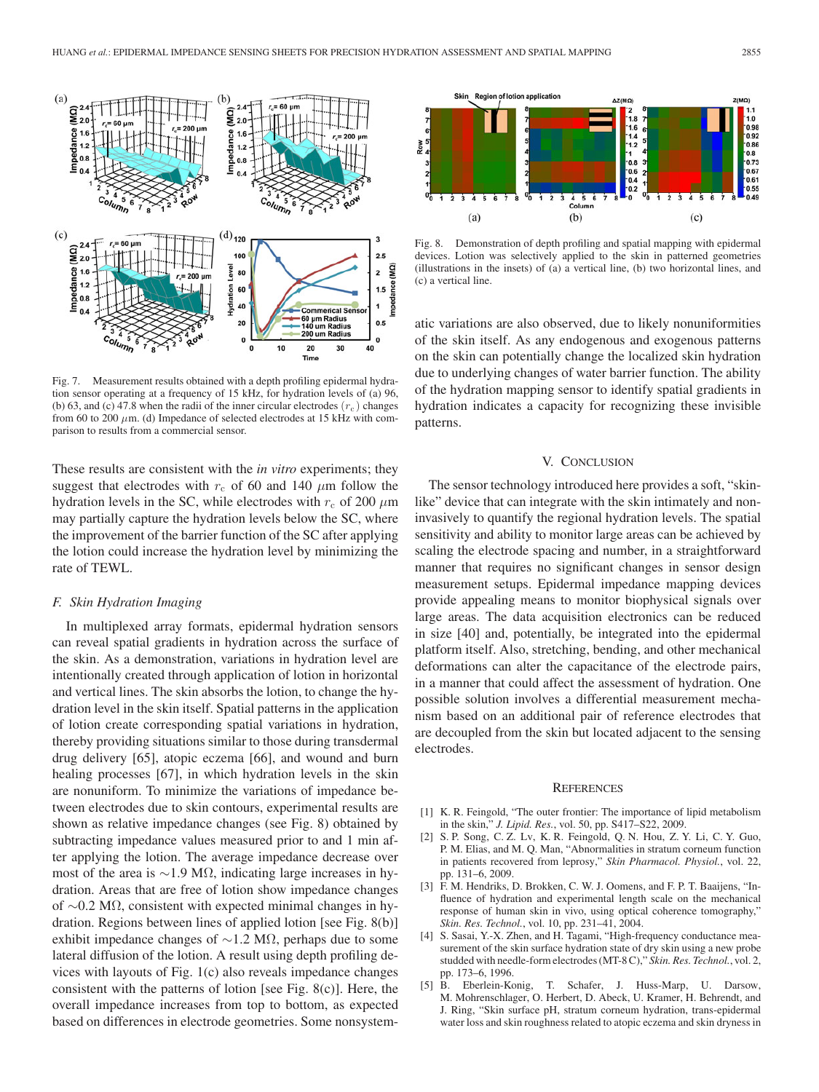

Fig. 7. Measurement results obtained with a depth profiling epidermal hydration sensor operating at a frequency of 15 kHz, for hydration levels of (a) 96, (b) 63, and (c) 47.8 when the radii of the inner circular electrodes  $(r_c)$  changes from 60 to 200  $\mu$ m. (d) Impedance of selected electrodes at 15 kHz with comparison to results from a commercial sensor.

These results are consistent with the *in vitro* experiments; they suggest that electrodes with  $r_c$  of 60 and 140  $\mu$ m follow the hydration levels in the SC, while electrodes with  $r_c$  of 200  $\mu$ m may partially capture the hydration levels below the SC, where the improvement of the barrier function of the SC after applying the lotion could increase the hydration level by minimizing the rate of TEWL.

#### *F. Skin Hydration Imaging*

In multiplexed array formats, epidermal hydration sensors can reveal spatial gradients in hydration across the surface of the skin. As a demonstration, variations in hydration level are intentionally created through application of lotion in horizontal and vertical lines. The skin absorbs the lotion, to change the hydration level in the skin itself. Spatial patterns in the application of lotion create corresponding spatial variations in hydration, thereby providing situations similar to those during transdermal drug delivery [65], atopic eczema [66], and wound and burn healing processes [67], in which hydration levels in the skin are nonuniform. To minimize the variations of impedance between electrodes due to skin contours, experimental results are shown as relative impedance changes (see Fig. 8) obtained by subtracting impedance values measured prior to and 1 min after applying the lotion. The average impedance decrease over most of the area is  $\sim$ 1.9 MΩ, indicating large increases in hydration. Areas that are free of lotion show impedance changes of ∼0.2 MΩ, consistent with expected minimal changes in hydration. Regions between lines of applied lotion [see Fig. 8(b)] exhibit impedance changes of  $\sim$ 1.2 MΩ, perhaps due to some lateral diffusion of the lotion. A result using depth profiling devices with layouts of Fig. 1(c) also reveals impedance changes consistent with the patterns of lotion [see Fig. 8(c)]. Here, the overall impedance increases from top to bottom, as expected based on differences in electrode geometries. Some nonsystem-



Fig. 8. Demonstration of depth profiling and spatial mapping with epidermal devices. Lotion was selectively applied to the skin in patterned geometries (illustrations in the insets) of (a) a vertical line, (b) two horizontal lines, and (c) a vertical line.

atic variations are also observed, due to likely nonuniformities of the skin itself. As any endogenous and exogenous patterns on the skin can potentially change the localized skin hydration due to underlying changes of water barrier function. The ability of the hydration mapping sensor to identify spatial gradients in hydration indicates a capacity for recognizing these invisible patterns.

## V. CONCLUSION

The sensor technology introduced here provides a soft, "skinlike" device that can integrate with the skin intimately and noninvasively to quantify the regional hydration levels. The spatial sensitivity and ability to monitor large areas can be achieved by scaling the electrode spacing and number, in a straightforward manner that requires no significant changes in sensor design measurement setups. Epidermal impedance mapping devices provide appealing means to monitor biophysical signals over large areas. The data acquisition electronics can be reduced in size [40] and, potentially, be integrated into the epidermal platform itself. Also, stretching, bending, and other mechanical deformations can alter the capacitance of the electrode pairs, in a manner that could affect the assessment of hydration. One possible solution involves a differential measurement mechanism based on an additional pair of reference electrodes that are decoupled from the skin but located adjacent to the sensing electrodes.

#### **REFERENCES**

- [1] K. R. Feingold, "The outer frontier: The importance of lipid metabolism in the skin," *J. Lipid. Res.*, vol. 50, pp. S417–S22, 2009.
- [2] S. P. Song, C. Z. Lv, K. R. Feingold, Q. N. Hou, Z. Y. Li, C. Y. Guo, P. M. Elias, and M. Q. Man, "Abnormalities in stratum corneum function in patients recovered from leprosy," *Skin Pharmacol. Physiol.*, vol. 22, pp. 131–6, 2009.
- [3] F. M. Hendriks, D. Brokken, C. W. J. Oomens, and F. P. T. Baaijens, "Influence of hydration and experimental length scale on the mechanical response of human skin in vivo, using optical coherence tomography," *Skin. Res. Technol.*, vol. 10, pp. 231–41, 2004.
- [4] S. Sasai, Y.-X. Zhen, and H. Tagami, "High-frequency conductance measurement of the skin surface hydration state of dry skin using a new probe studded with needle-form electrodes (MT-8 C)," *Skin. Res. Technol.*, vol. 2, pp. 173–6, 1996.
- [5] B. Eberlein-Konig, T. Schafer, J. Huss-Marp, U. Darsow, M. Mohrenschlager, O. Herbert, D. Abeck, U. Kramer, H. Behrendt, and J. Ring, "Skin surface pH, stratum corneum hydration, trans-epidermal water loss and skin roughness related to atopic eczema and skin dryness in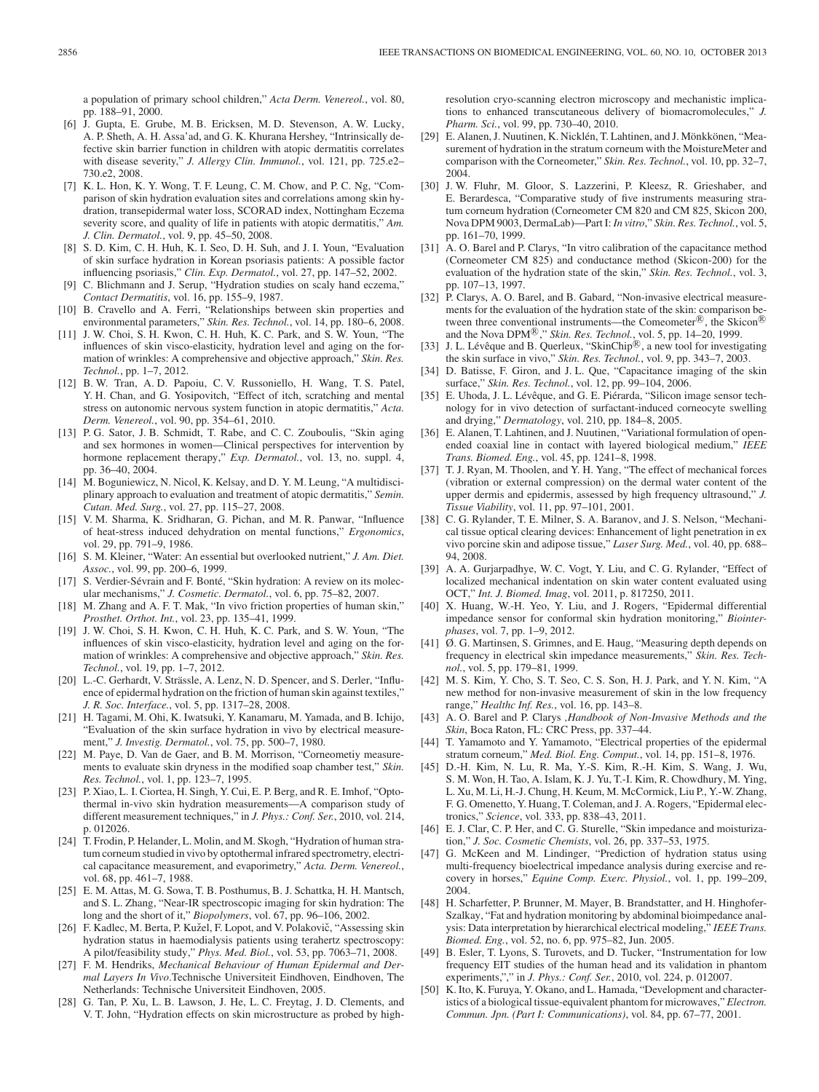a population of primary school children," *Acta Derm. Venereol.*, vol. 80, pp. 188–91, 2000.

- [6] J. Gupta, E. Grube, M. B. Ericksen, M. D. Stevenson, A. W. Lucky, A. P. Sheth, A. H. Assa'ad, and G. K. Khurana Hershey, "Intrinsically defective skin barrier function in children with atopic dermatitis correlates with disease severity," *J. Allergy Clin. Immunol.*, vol. 121, pp. 725.e2– 730.e2, 2008.
- [7] K. L. Hon, K. Y. Wong, T. F. Leung, C. M. Chow, and P. C. Ng, "Comparison of skin hydration evaluation sites and correlations among skin hydration, transepidermal water loss, SCORAD index, Nottingham Eczema severity score, and quality of life in patients with atopic dermatitis," *Am. J. Clin. Dermatol.*, vol. 9, pp. 45–50, 2008.
- [8] S. D. Kim, C. H. Huh, K. I. Seo, D. H. Suh, and J. I. Youn, "Evaluation of skin surface hydration in Korean psoriasis patients: A possible factor influencing psoriasis," *Clin. Exp. Dermatol.*, vol. 27, pp. 147–52, 2002.
- [9] C. Blichmann and J. Serup, "Hydration studies on scaly hand eczema," *Contact Dermatitis*, vol. 16, pp. 155–9, 1987.
- [10] B. Cravello and A. Ferri, "Relationships between skin properties and environmental parameters," *Skin. Res. Technol.*, vol. 14, pp. 180–6, 2008.
- [11] J. W. Choi, S. H. Kwon, C. H. Huh, K. C. Park, and S. W. Youn, "The influences of skin visco-elasticity, hydration level and aging on the formation of wrinkles: A comprehensive and objective approach," *Skin. Res. Technol.*, pp. 1–7, 2012.
- [12] B. W. Tran, A. D. Papoiu, C. V. Russoniello, H. Wang, T. S. Patel, Y. H. Chan, and G. Yosipovitch, "Effect of itch, scratching and mental stress on autonomic nervous system function in atopic dermatitis," *Acta. Derm. Venereol.*, vol. 90, pp. 354–61, 2010.
- [13] P. G. Sator, J. B. Schmidt, T. Rabe, and C. C. Zouboulis, "Skin aging and sex hormones in women—Clinical perspectives for intervention by hormone replacement therapy," *Exp. Dermatol.*, vol. 13, no. suppl. 4, pp. 36–40, 2004.
- [14] M. Boguniewicz, N. Nicol, K. Kelsay, and D. Y. M. Leung, "A multidisciplinary approach to evaluation and treatment of atopic dermatitis," *Semin. Cutan. Med. Surg.*, vol. 27, pp. 115–27, 2008.
- [15] V. M. Sharma, K. Sridharan, G. Pichan, and M. R. Panwar, "Influence of heat-stress induced dehydration on mental functions," *Ergonomics*, vol. 29, pp. 791–9, 1986.
- [16] S. M. Kleiner, "Water: An essential but overlooked nutrient," *J. Am. Diet. Assoc.*, vol. 99, pp. 200–6, 1999.
- [17] S. Verdier-Sévrain and F. Bonté, "Skin hydration: A review on its molecular mechanisms," *J. Cosmetic. Dermatol.*, vol. 6, pp. 75–82, 2007.
- [18] M. Zhang and A. F. T. Mak, "In vivo friction properties of human skin," *Prosthet. Orthot. Int.*, vol. 23, pp. 135–41, 1999.
- [19] J. W. Choi, S. H. Kwon, C. H. Huh, K. C. Park, and S. W. Youn, "The influences of skin visco-elasticity, hydration level and aging on the formation of wrinkles: A comprehensive and objective approach," *Skin. Res. Technol.*, vol. 19, pp. 1–7, 2012.
- [20] L.-C. Gerhardt, V. Strässle, A. Lenz, N. D. Spencer, and S. Derler, "Influence of epidermal hydration on the friction of human skin against textiles," *J. R. Soc. Interface.*, vol. 5, pp. 1317–28, 2008.
- [21] H. Tagami, M. Ohi, K. Iwatsuki, Y. Kanamaru, M. Yamada, and B. Ichijo, "Evaluation of the skin surface hydration in vivo by electrical measurement," *J. Investig. Dermatol.*, vol. 75, pp. 500–7, 1980.
- [22] M. Paye, D. Van de Gaer, and B. M. Morrison, "Corneometiy measurements to evaluate skin dryness in the modified soap chamber test," *Skin. Res. Technol.*, vol. 1, pp. 123–7, 1995.
- [23] P. Xiao, L. I. Ciortea, H. Singh, Y. Cui, E. P. Berg, and R. E. Imhof, "Optothermal in-vivo skin hydration measurements—A comparison study of different measurement techniques," in *J. Phys.: Conf. Ser.*, 2010, vol. 214, p. 012026.
- [24] T. Frodin, P. Helander, L. Molin, and M. Skogh, "Hydration of human stratum corneum studied in vivo by optothermal infrared spectrometry, electrical capacitance measurement, and evaporimetry," *Acta. Derm. Venereol.*, vol. 68, pp. 461–7, 1988.
- [25] E. M. Attas, M. G. Sowa, T. B. Posthumus, B. J. Schattka, H. H. Mantsch, and S. L. Zhang, "Near-IR spectroscopic imaging for skin hydration: The long and the short of it," *Biopolymers*, vol. 67, pp. 96–106, 2002.
- [26] F. Kadlec, M. Berta, P. Kužel, F. Lopot, and V. Polakovič, "Assessing skin hydration status in haemodialysis patients using terahertz spectroscopy: A pilot/feasibility study," *Phys. Med. Biol.*, vol. 53, pp. 7063–71, 2008.
- [27] F. M. Hendriks, *Mechanical Behaviour of Human Epidermal and Dermal Layers In Vivo*.Technische Universiteit Eindhoven, Eindhoven, The Netherlands: Technische Universiteit Eindhoven, 2005.
- [28] G. Tan, P. Xu, L. B. Lawson, J. He, L. C. Freytag, J. D. Clements, and V. T. John, "Hydration effects on skin microstructure as probed by high-

resolution cryo-scanning electron microscopy and mechanistic implications to enhanced transcutaneous delivery of biomacromolecules," *J. Pharm. Sci.*, vol. 99, pp. 730–40, 2010.

- [29] E. Alanen, J. Nuutinen, K. Nicklén, T. Lahtinen, and J. Mönkkönen, "Measurement of hydration in the stratum corneum with the MoistureMeter and comparison with the Corneometer," *Skin. Res. Technol.*, vol. 10, pp. 32–7, 2004.
- [30] J. W. Fluhr, M. Gloor, S. Lazzerini, P. Kleesz, R. Grieshaber, and E. Berardesca, "Comparative study of five instruments measuring stratum corneum hydration (Corneometer CM 820 and CM 825, Skicon 200, Nova DPM 9003, DermaLab)—Part I: *In vitro*," *Skin. Res. Technol.*, vol. 5, pp. 161–70, 1999.
- [31] A. O. Barel and P. Clarys, "In vitro calibration of the capacitance method (Corneometer CM 825) and conductance method (Skicon-200) for the evaluation of the hydration state of the skin," *Skin. Res. Technol.*, vol. 3, pp. 107–13, 1997.
- [32] P. Clarys, A. O. Barel, and B. Gabard, "Non-invasive electrical measurements for the evaluation of the hydration state of the skin: comparison between three conventional instruments—the Comeometer<sup>®</sup>, the Skicon<sup>®</sup> and the Nova DPM<sup>®</sup>," *Skin. Res. Technol.*, vol. 5, pp. 14–20, 1999.
- [33] J. L. Lévêque and B. Querleux, "SkinChip®, a new tool for investigating the skin surface in vivo," *Skin. Res. Technol.*, vol. 9, pp. 343–7, 2003.
- [34] D. Batisse, F. Giron, and J. L. Que, "Capacitance imaging of the skin surface," *Skin. Res. Technol.*, vol. 12, pp. 99–104, 2006.
- [35] E. Uhoda, J. L. Lévêque, and G. E. Piérarda, "Silicon image sensor technology for in vivo detection of surfactant-induced corneocyte swelling and drying," *Dermatology*, vol. 210, pp. 184–8, 2005.
- [36] E. Alanen, T. Lahtinen, and J. Nuutinen, "Variational formulation of openended coaxial line in contact with layered biological medium," *IEEE Trans. Biomed. Eng.*, vol. 45, pp. 1241–8, 1998.
- [37] T. J. Ryan, M. Thoolen, and Y. H. Yang, "The effect of mechanical forces (vibration or external compression) on the dermal water content of the upper dermis and epidermis, assessed by high frequency ultrasound," *J. Tissue Viability*, vol. 11, pp. 97–101, 2001.
- [38] C. G. Rylander, T. E. Milner, S. A. Baranov, and J. S. Nelson, "Mechanical tissue optical clearing devices: Enhancement of light penetration in ex vivo porcine skin and adipose tissue," *Laser Surg. Med.*, vol. 40, pp. 688– 94, 2008.
- [39] A. A. Gurjarpadhye, W. C. Vogt, Y. Liu, and C. G. Rylander, "Effect of localized mechanical indentation on skin water content evaluated using OCT," *Int. J. Biomed. Imag*, vol. 2011, p. 817250, 2011.
- [40] X. Huang, W.-H. Yeo, Y. Liu, and J. Rogers, "Epidermal differential impedance sensor for conformal skin hydration monitoring," *Biointerphases*, vol. 7, pp. 1–9, 2012.
- [41] Ø. G. Martinsen, S. Grimnes, and E. Haug, "Measuring depth depends on frequency in electrical skin impedance measurements," *Skin. Res. Technol.*, vol. 5, pp. 179–81, 1999.
- [42] M. S. Kim, Y. Cho, S. T. Seo, C. S. Son, H. J. Park, and Y. N. Kim, "A new method for non-invasive measurement of skin in the low frequency range," *Healthc Inf. Res.*, vol. 16, pp. 143–8.
- [43] A. O. Barel and P. Clarys *,Handbook of Non-Invasive Methods and the Skin*, Boca Raton, FL: CRC Press, pp. 337–44.
- [44] T. Yamamoto and Y. Yamamoto, "Electrical properties of the epidermal stratum corneum," *Med. Biol. Eng. Comput.*, vol. 14, pp. 151–8, 1976.
- [45] D.-H. Kim, N. Lu, R. Ma, Y.-S. Kim, R.-H. Kim, S. Wang, J. Wu, S. M. Won, H. Tao, A. Islam, K. J. Yu, T.-I. Kim, R. Chowdhury, M. Ying, L. Xu, M. Li, H.-J. Chung, H. Keum, M. McCormick, Liu P., Y.-W. Zhang, F. G. Omenetto, Y. Huang, T. Coleman, and J. A. Rogers, "Epidermal electronics," *Science*, vol. 333, pp. 838–43, 2011.
- [46] E. J. Clar, C. P. Her, and C. G. Sturelle, "Skin impedance and moisturization," *J. Soc. Cosmetic Chemists*, vol. 26, pp. 337–53, 1975.
- [47] G. McKeen and M. Lindinger, "Prediction of hydration status using multi-frequency bioelectrical impedance analysis during exercise and recovery in horses," *Equine Comp. Exerc. Physiol.*, vol. 1, pp. 199–209, 2004.
- [48] H. Scharfetter, P. Brunner, M. Mayer, B. Brandstatter, and H. Hinghofer-Szalkay, "Fat and hydration monitoring by abdominal bioimpedance analysis: Data interpretation by hierarchical electrical modeling," *IEEE Trans. Biomed. Eng.*, vol. 52, no. 6, pp. 975–82, Jun. 2005.
- [49] B. Esler, T. Lyons, S. Turovets, and D. Tucker, "Instrumentation for low frequency EIT studies of the human head and its validation in phantom experiments,"," in *J. Phys.: Conf. Ser.*, 2010, vol. 224, p. 012007.
- [50] K. Ito, K. Furuya, Y. Okano, and L. Hamada, "Development and characteristics of a biological tissue-equivalent phantom for microwaves," *Electron. Commun. Jpn. (Part I: Communications)*, vol. 84, pp. 67–77, 2001.